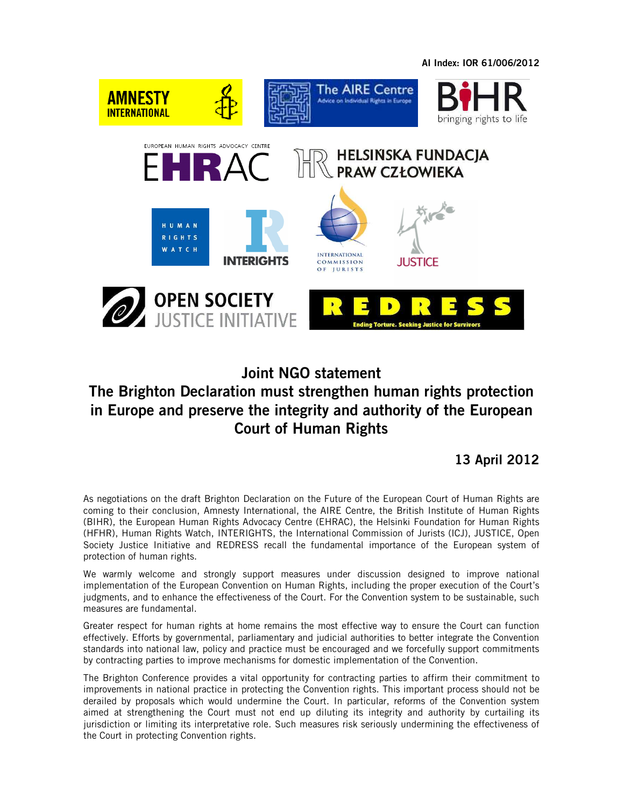**AI Index: IOR 61/006/2012** 



## **Joint NGO statement The Brighton Declaration must strengthen human rights protection in Europe and preserve the integrity and authority of the European Court of Human Rights**

**13 April 2012** 

As negotiations on the draft Brighton Declaration on the Future of the European Court of Human Rights are coming to their conclusion, Amnesty International, the AIRE Centre, the British Institute of Human Rights (BIHR), the European Human Rights Advocacy Centre (EHRAC), the Helsinki Foundation for Human Rights (HFHR), Human Rights Watch, INTERIGHTS, the International Commission of Jurists (ICJ), JUSTICE, Open Society Justice Initiative and REDRESS recall the fundamental importance of the European system of protection of human rights.

We warmly welcome and strongly support measures under discussion designed to improve national implementation of the European Convention on Human Rights, including the proper execution of the Court's judgments, and to enhance the effectiveness of the Court. For the Convention system to be sustainable, such measures are fundamental.

Greater respect for human rights at home remains the most effective way to ensure the Court can function effectively. Efforts by governmental, parliamentary and judicial authorities to better integrate the Convention standards into national law, policy and practice must be encouraged and we forcefully support commitments by contracting parties to improve mechanisms for domestic implementation of the Convention.

The Brighton Conference provides a vital opportunity for contracting parties to affirm their commitment to improvements in national practice in protecting the Convention rights. This important process should not be derailed by proposals which would undermine the Court. In particular, reforms of the Convention system aimed at strengthening the Court must not end up diluting its integrity and authority by curtailing its jurisdiction or limiting its interpretative role. Such measures risk seriously undermining the effectiveness of the Court in protecting Convention rights.